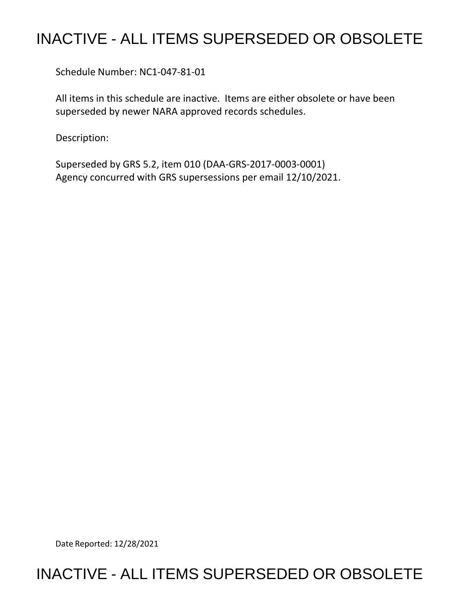## INACTIVE - ALL ITEMS SUPERSEDED OR OBSOLETE

Schedule Number: NC1-047-81-01

 All items in this schedule are inactive. Items are either obsolete or have been superseded by newer NARA approved records schedules.

Description:

 Superseded by GRS 5.2, item 010 (DAA-GRS-2017-0003-0001) Agency concurred with GRS supersessions per email 12/10/2021.

Date Reported: 12/28/2021

## INACTIVE - ALL ITEMS SUPERSEDED OR OBSOLETE